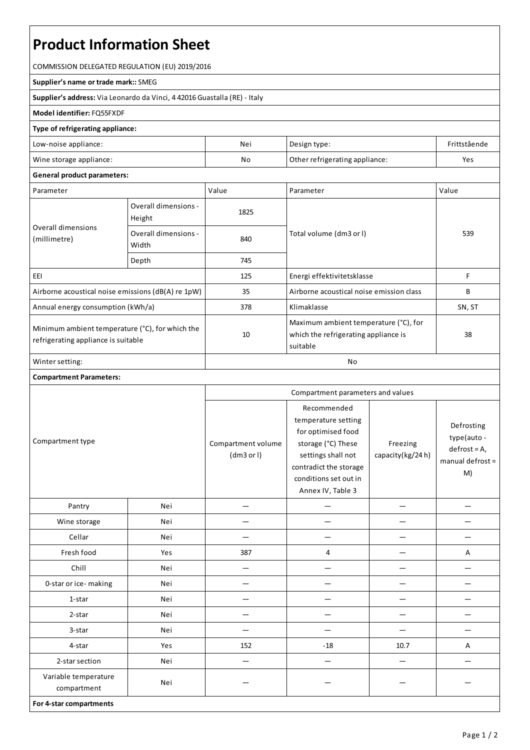# **Product Information Sheet**

COMMISSION DELEGATED REGULATION (EU) 2019/2016

#### **Supplier's name or trade mark::**SMEG

**Supplier's address:** ViaLeonardo da Vinci, 4 42016 Guastalla(RE) - Italy

### **Model identifier:**FQ55FXDF

## **Type of refrigerating appliance:**

| Low-noise appliance:    | Nei | Design type:                   | Frittstående |
|-------------------------|-----|--------------------------------|--------------|
| Wine storage appliance: | No  | Other refrigerating appliance: | Yes          |

#### **General product parameters:**

| Parameter                                                                              |                                | Value | Parameter                                                                                 | Value  |
|----------------------------------------------------------------------------------------|--------------------------------|-------|-------------------------------------------------------------------------------------------|--------|
| Overall dimensions<br>(millimetre)                                                     | Overall dimensions -<br>Height | 1825  |                                                                                           | 539    |
|                                                                                        | Overall dimensions -<br>Width  | 840   | Total volume (dm3 or l)                                                                   |        |
|                                                                                        | Depth                          | 745   |                                                                                           |        |
| EEI                                                                                    |                                | 125   | Energi effektivitetsklasse                                                                | F      |
| Airborne acoustical noise emissions (dB(A) re 1pW)                                     |                                | 35    | Airborne acoustical noise emission class                                                  | B      |
| Annual energy consumption (kWh/a)                                                      |                                | 378   | Klimaklasse                                                                               | SN, ST |
| Minimum ambient temperature (°C), for which the<br>refrigerating appliance is suitable |                                | 10    | Maximum ambient temperature (°C), for<br>which the refrigerating appliance is<br>suitable | 38     |
| Winter setting:                                                                        |                                | No    |                                                                                           |        |

## **Compartment Parameters:**

| Compartment type                    |     | Compartment parameters and values |                                                                                                                                                                              |                              |                                                                         |
|-------------------------------------|-----|-----------------------------------|------------------------------------------------------------------------------------------------------------------------------------------------------------------------------|------------------------------|-------------------------------------------------------------------------|
|                                     |     | Compartment volume<br>(dm3 or l)  | Recommended<br>temperature setting<br>for optimised food<br>storage (°C) These<br>settings shall not<br>contradict the storage<br>conditions set out in<br>Annex IV, Table 3 | Freezing<br>capacity(kg/24h) | Defrosting<br>type(auto-<br>$defrost = A,$<br>$m$ anual defrost =<br>M) |
| Pantry                              | Nei | $\overline{\phantom{0}}$          | —                                                                                                                                                                            | $\overline{\phantom{0}}$     |                                                                         |
| Wine storage                        | Nei |                                   |                                                                                                                                                                              |                              |                                                                         |
| Cellar                              | Nei |                                   |                                                                                                                                                                              |                              |                                                                         |
| Fresh food                          | Yes | 387                               | 4                                                                                                                                                                            |                              | Α                                                                       |
| Chill                               | Nei | $\overline{\phantom{0}}$          | —                                                                                                                                                                            |                              |                                                                         |
| 0-star or ice-making                | Nei | -                                 |                                                                                                                                                                              |                              |                                                                         |
| 1-star                              | Nei |                                   |                                                                                                                                                                              |                              |                                                                         |
| 2-star                              | Nei |                                   |                                                                                                                                                                              |                              |                                                                         |
| 3-star                              | Nei |                                   |                                                                                                                                                                              |                              |                                                                         |
| 4-star                              | Yes | 152                               | $-18$                                                                                                                                                                        | 10.7                         | A                                                                       |
| 2-star section                      | Nei |                                   |                                                                                                                                                                              |                              |                                                                         |
| Variable temperature<br>compartment | Nei |                                   |                                                                                                                                                                              |                              |                                                                         |
| For 4-star compartments             |     |                                   |                                                                                                                                                                              |                              |                                                                         |